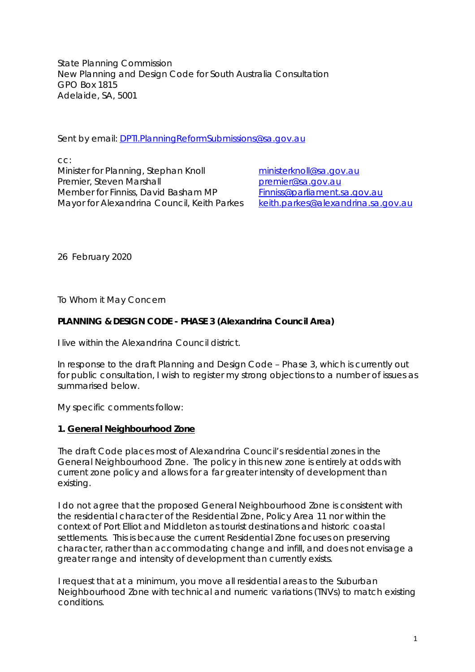State Planning Commission New Planning and Design Code for South Australia Consultation GPO Box 1815 Adelaide, SA, 5001

Sent by email: [DPTI.PlanningReformSubmissions@sa.gov.au](mailto:DPTI.PlanningReformSubmissions@sa.gov.au)

cc: Minister for Planning, Stephan Knoll [ministerknoll@sa.gov.au](mailto:ministerknoll@sa.gov.au) Premier, Steven Marshall premier@sa.gov.au Member for Finniss, David Basham MP<br>Mayor for Alexandrina Council, Keith Parkes keith.parkes@alexandrina.sa.gov.au Mayor for Alexandrina Council, Keith Parkes

26 February 2020

To Whom it May Concern

## **PLANNING & DESIGN CODE - PHASE 3 (Alexandrina Council Area)**

I live within the Alexandrina Council district.

In response to the draft Planning and Design Code – Phase 3, which is currently out for public consultation, I wish to register my strong objections to a number of issues as summarised below.

My specific comments follow:

#### **1. General Neighbourhood Zone**

The draft Code places most of Alexandrina Council's residential zones in the General Neighbourhood Zone. The policy in this new zone is entirely at odds with current zone policy and allows for a far greater intensity of development than existing.

I do not agree that the proposed General Neighbourhood Zone is consistent with the residential character of the Residential Zone, Policy Area 11 nor within the context of Port Elliot and Middleton as tourist destinations and historic coastal settlements. This is because the current Residential Zone focuses on preserving character, rather than accommodating change and infill, and does not envisage a greater range and intensity of development than currently exists.

I request that at a minimum, you move all residential areas to the Suburban Neighbourhood Zone with technical and numeric variations (TNVs) to match existing conditions.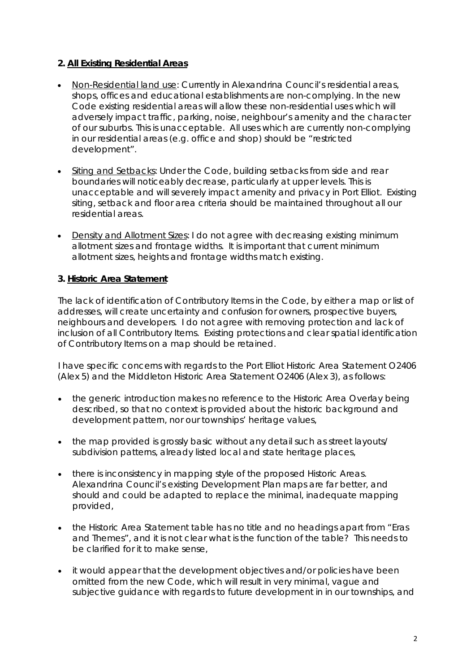# **2. All Existing Residential Areas**

- Non-Residential land use: Currently in Alexandrina Council's residential areas, shops, offices and educational establishments are non-complying. In the new Code existing residential areas will allow these non-residential uses which will adversely impact traffic, parking, noise, neighbour's amenity and the character of our suburbs. This is unacceptable. All uses which are currently non-complying in our residential areas (e.g. office and shop) should be "restricted development".
- Siting and Setbacks: Under the Code, building setbacks from side and rear boundaries will noticeably decrease, particularly at upper levels. This is unacceptable and will severely impact amenity and privacy in Port Elliot. Existing siting, setback and floor area criteria should be maintained throughout all our residential areas.
- Density and Allotment Sizes: I do not agree with decreasing existing minimum allotment sizes and frontage widths. It is important that current minimum allotment sizes, heights and frontage widths match existing.

## **3. Historic Area Statement**

The lack of identification of Contributory Items in the Code, by either a map or list of addresses, will create uncertainty and confusion for owners, prospective buyers, neighbours and developers. I do not agree with removing protection and lack of inclusion of all Contributory Items. Existing protections and clear spatial identification of Contributory Items on a map should be retained.

I have specific concerns with regards to the Port Elliot Historic Area Statement O2406 (*Alex 5*) and the Middleton Historic Area Statement O2406 (*Alex 3*), as follows:

- the generic introduction makes no reference to the Historic Area Overlay being described, so that no context is provided about the historic background and development pattern, nor our townships' heritage values,
- the map provided is grossly basic without any detail such as street layouts/ subdivision patterns, already listed local and state heritage places,
- there is inconsistency in mapping style of the proposed Historic Areas. Alexandrina Council's existing Development Plan maps are far better, and should and could be adapted to replace the minimal, inadequate mapping provided,
- the Historic Area Statement table has no title and no headings apart from "Eras and Themes", and it is not clear what is the function of the table? This needs to be clarified for it to make sense,
- it would appear that the development objectives and/or policies have been omitted from the new Code, which will result in very minimal, vague and subjective guidance with regards to future development in in our townships, and